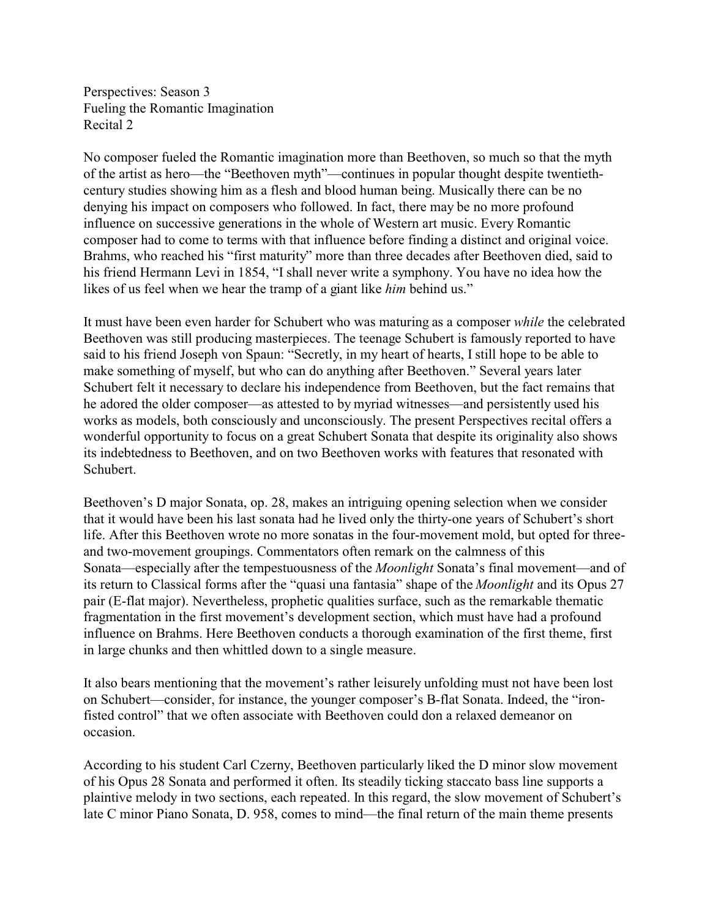Perspectives: Season 3 Fueling the Romantic Imagination Recital 2

No composer fueled the Romantic imagination more than Beethoven, so much so that the myth of the artist as hero—the "Beethoven myth"—continues in popular thought despite twentiethcentury studies showing him as a flesh and blood human being. Musically there can be no denying his impact on composers who followed. In fact, there may be no more profound influence on successive generations in the whole of Western art music. Every Romantic composer had to come to terms with that influence before finding a distinct and original voice. Brahms, who reached his "first maturity" more than three decades after Beethoven died, said to his friend Hermann Levi in 1854, "I shall never write a symphony. You have no idea how the likes of us feel when we hear the tramp of a giant like *him* behind us."

It must have been even harder for Schubert who was maturing as a composer *while* the celebrated Beethoven was still producing masterpieces. The teenage Schubert is famously reported to have said to his friend Joseph von Spaun: "Secretly, in my heart of hearts, I still hope to be able to make something of myself, but who can do anything after Beethoven." Several years later Schubert felt it necessary to declare his independence from Beethoven, but the fact remains that he adored the older composer—as attested to by myriad witnesses—and persistently used his works as models, both consciously and unconsciously. The present Perspectives recital offers a wonderful opportunity to focus on a great Schubert Sonata that despite its originality also shows its indebtedness to Beethoven, and on two Beethoven works with features that resonated with Schubert.

Beethoven's D major Sonata, op. 28, makes an intriguing opening selection when we consider that it would have been his last sonata had he lived only the thirty-one years of Schubert's short life. After this Beethoven wrote no more sonatas in the four-movement mold, but opted for threeand two-movement groupings. Commentators often remark on the calmness of this Sonata—especially after the tempestuousness of the *Moonlight* Sonata's final movement—and of its return to Classical forms after the "quasi una fantasia" shape of the *Moonlight* and its Opus 27 pair (E-flat major). Nevertheless, prophetic qualities surface, such as the remarkable thematic fragmentation in the first movement's development section, which must have had a profound influence on Brahms. Here Beethoven conducts a thorough examination of the first theme, first in large chunks and then whittled down to a single measure.

It also bears mentioning that the movement's rather leisurely unfolding must not have been lost on Schubert—consider, for instance, the younger composer's B-flat Sonata. Indeed, the "ironfisted control" that we often associate with Beethoven could don a relaxed demeanor on occasion.

According to his student Carl Czerny, Beethoven particularly liked the D minor slow movement of his Opus 28 Sonata and performed it often. Its steadily ticking staccato bass line supports a plaintive melody in two sections, each repeated. In this regard, the slow movement of Schubert's late C minor Piano Sonata, D. 958, comes to mind—the final return of the main theme presents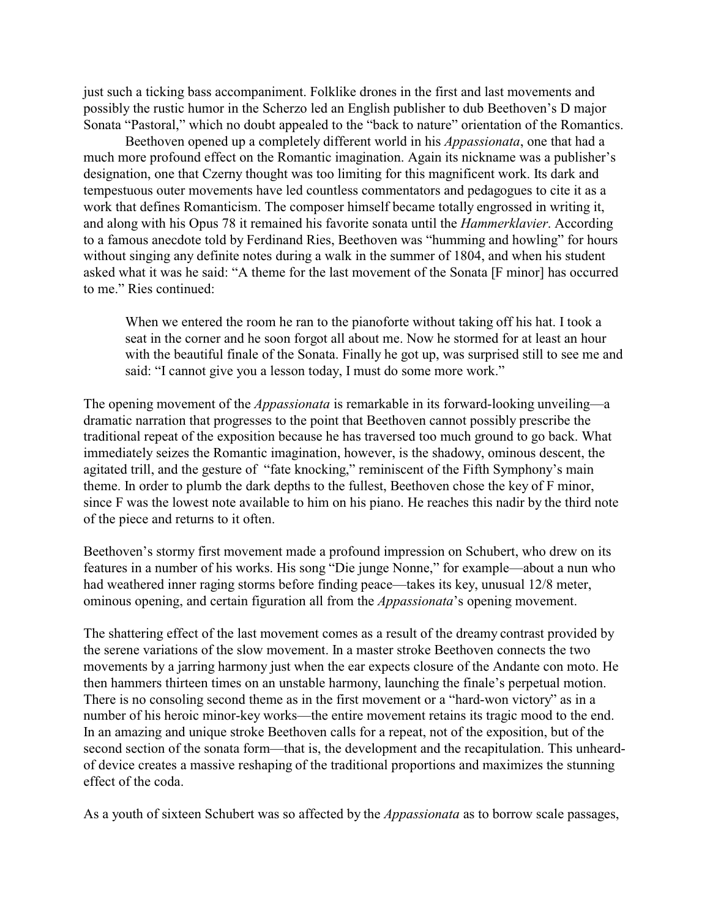just such a ticking bass accompaniment. Folklike drones in the first and last movements and possibly the rustic humor in the Scherzo led an English publisher to dub Beethoven's D major Sonata "Pastoral," which no doubt appealed to the "back to nature" orientation of the Romantics.

Beethoven opened up a completely different world in his *Appassionata*, one that had a much more profound effect on the Romantic imagination. Again its nickname was a publisher's designation, one that Czerny thought was too limiting for this magnificent work. Its dark and tempestuous outer movements have led countless commentators and pedagogues to cite it as a work that defines Romanticism. The composer himself became totally engrossed in writing it, and along with his Opus 78 it remained his favorite sonata until the *Hammerklavier*. According to a famous anecdote told by Ferdinand Ries, Beethoven was "humming and howling" for hours without singing any definite notes during a walk in the summer of 1804, and when his student asked what it was he said: "A theme for the last movement of the Sonata [F minor] has occurred to me." Ries continued:

When we entered the room he ran to the pianoforte without taking off his hat. I took a seat in the corner and he soon forgot all about me. Now he stormed for at least an hour with the beautiful finale of the Sonata. Finally he got up, was surprised still to see me and said: "I cannot give you a lesson today, I must do some more work."

The opening movement of the *Appassionata* is remarkable in its forward-looking unveiling—a dramatic narration that progresses to the point that Beethoven cannot possibly prescribe the traditional repeat of the exposition because he has traversed too much ground to go back. What immediately seizes the Romantic imagination, however, is the shadowy, ominous descent, the agitated trill, and the gesture of "fate knocking," reminiscent of the Fifth Symphony's main theme. In order to plumb the dark depths to the fullest, Beethoven chose the key of F minor, since F was the lowest note available to him on his piano. He reaches this nadir by the third note of the piece and returns to it often.

Beethoven's stormy first movement made a profound impression on Schubert, who drew on its features in a number of his works. His song "Die junge Nonne," for example—about a nun who had weathered inner raging storms before finding peace—takes its key, unusual 12/8 meter, ominous opening, and certain figuration all from the *Appassionata*'s opening movement.

The shattering effect of the last movement comes as a result of the dreamy contrast provided by the serene variations of the slow movement. In a master stroke Beethoven connects the two movements by a jarring harmony just when the ear expects closure of the Andante con moto. He then hammers thirteen times on an unstable harmony, launching the finale's perpetual motion. There is no consoling second theme as in the first movement or a "hard-won victory" as in a number of his heroic minor-key works—the entire movement retains its tragic mood to the end. In an amazing and unique stroke Beethoven calls for a repeat, not of the exposition, but of the second section of the sonata form—that is, the development and the recapitulation. This unheardof device creates a massive reshaping of the traditional proportions and maximizes the stunning effect of the coda.

As a youth of sixteen Schubert was so affected by the *Appassionata* as to borrow scale passages,